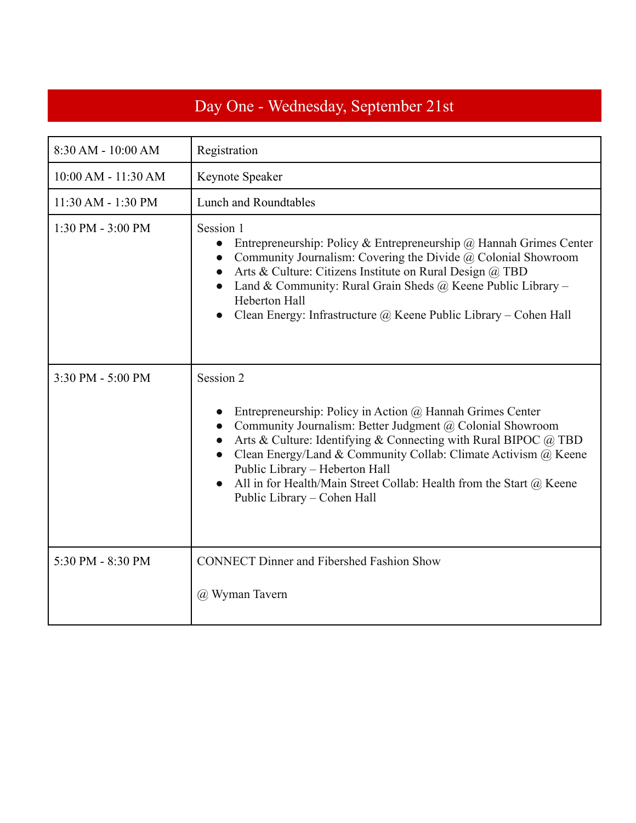## Day One - Wednesday, September 21st

| 8:30 AM - 10:00 AM  | Registration                                                                                                                                                                                                                                                                                                                                                                                                                  |
|---------------------|-------------------------------------------------------------------------------------------------------------------------------------------------------------------------------------------------------------------------------------------------------------------------------------------------------------------------------------------------------------------------------------------------------------------------------|
| 10:00 AM - 11:30 AM | Keynote Speaker                                                                                                                                                                                                                                                                                                                                                                                                               |
| 11:30 AM - 1:30 PM  | Lunch and Roundtables                                                                                                                                                                                                                                                                                                                                                                                                         |
| 1:30 PM - 3:00 PM   | Session 1<br>Entrepreneurship: Policy & Entrepreneurship @ Hannah Grimes Center<br>$\bullet$<br>Community Journalism: Covering the Divide @ Colonial Showroom<br>Arts & Culture: Citizens Institute on Rural Design @ TBD<br>Land & Community: Rural Grain Sheds @ Keene Public Library -<br><b>Heberton Hall</b><br>Clean Energy: Infrastructure @ Keene Public Library – Cohen Hall                                         |
| 3:30 PM - 5:00 PM   | Session 2<br>Entrepreneurship: Policy in Action @ Hannah Grimes Center<br>Community Journalism: Better Judgment @ Colonial Showroom<br>Arts & Culture: Identifying & Connecting with Rural BIPOC @ TBD<br>$\bullet$<br>Clean Energy/Land & Community Collab: Climate Activism @ Keene<br>Public Library - Heberton Hall<br>All in for Health/Main Street Collab: Health from the Start @ Keene<br>Public Library – Cohen Hall |
| 5:30 PM - 8:30 PM   | <b>CONNECT Dinner and Fibershed Fashion Show</b><br>@ Wyman Tavern                                                                                                                                                                                                                                                                                                                                                            |